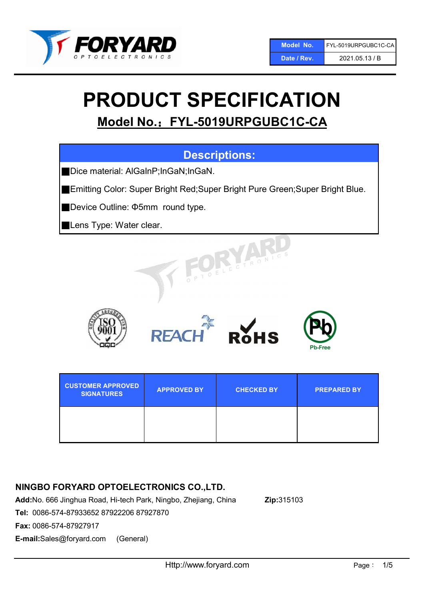

# PRODUCT SPECIFICATION

Model No.: FYL-5019URPGUBC1C-CA

# Descriptions:

■ Dice material: AlGaInP;InGaN;InGaN.

■Emitting Color: Super Bright Red;Super Bright Pure Green;Super Bright Blue.

■Device Outline: Φ5mm round type.

**Lens Type: Water clear.** 











| <b>CUSTOMER APPROVED</b><br><b>SIGNATURES</b> | <b>APPROVED BY</b> | <b>CHECKED BY</b> | <b>PREPARED BY</b> |
|-----------------------------------------------|--------------------|-------------------|--------------------|
|                                               |                    |                   |                    |

# NINGBO FORYARD OPTOELECTRONICS CO.,LTD.

Add:No. 666 Jinghua Road, Hi-tech Park, Ningbo, Zhejiang, China Zip:315103

Tel: 0086-574-87933652 87922206 87927870

Fax: 0086-574-87927917

E-mail:Sales@foryard.com (General)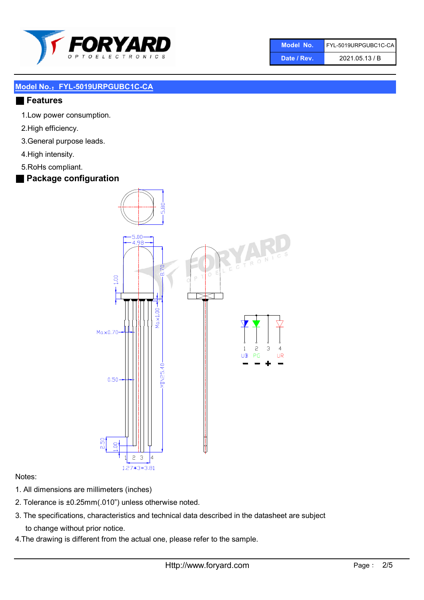

| Model No.   | FYL-5019URPGUBC1C-CA |
|-------------|----------------------|
| Date / Rev. | 2021.05.13 / B       |

#### ■ Features

- 1.Low power consumption.
- 2.High efficiency.
- 3.General purpose leads.
- 4.High intensity.
- 5.RoHs compliant.
- Package configuration



#### Notes:

- 1. All dimensions are millimeters (inches)
- 2. Tolerance is ±0.25mm(.010") unless otherwise noted.
- 3. The specifications, characteristics and technical data described in the datasheet are subject to change without prior notice.
- 4.The drawing is different from the actual one, please refer to the sample.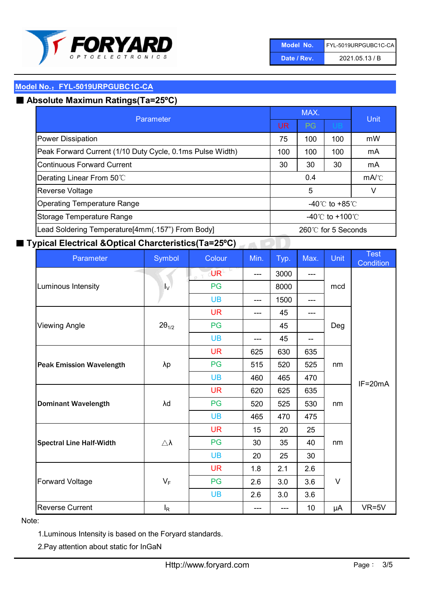

| Model No.   | FYL-5019URPGUBC1C-CA |
|-------------|----------------------|
| Date / Rev. | 2021.05.13 / B       |

# ■ Absolute Maximun Ratings(Ta=25°C)

| Parameter                                                                      |                                   | MAX. | <b>Unit</b>                        |    |
|--------------------------------------------------------------------------------|-----------------------------------|------|------------------------------------|----|
|                                                                                |                                   | PG   | <b>UB</b>                          |    |
| <b>Power Dissipation</b>                                                       | 75                                | 100  | 100                                | mW |
| Peak Forward Current (1/10 Duty Cycle, 0.1ms Pulse Width)<br>100<br>100<br>100 |                                   | mA   |                                    |    |
| Continuous Forward Current                                                     |                                   | 30   | 30                                 | mA |
| Derating Linear From 50°C                                                      | 0.4                               |      | $mA$ <sup><math>\circ</math></sup> |    |
| <b>Reverse Voltage</b>                                                         | 5<br>v                            |      |                                    |    |
| <b>Operating Temperature Range</b><br>-40 $\degree$ C to +85 $\degree$ C       |                                   |      |                                    |    |
| Storage Temperature Range<br>-40 $\degree$ C to +100 $\degree$ C               |                                   |      |                                    |    |
| Lead Soldering Temperature[4mm(.157") From Body]                               | $260^\circ\text{C}$ for 5 Seconds |      |                                    |    |

# ■ Typical Electrical &Optical Charcteristics(Ta=25°C)

| Parameter                       | Symbol              | Colour                           | Min.  | Typ. | Max.  | <b>Unit</b> | <b>Test</b><br>Condition |
|---------------------------------|---------------------|----------------------------------|-------|------|-------|-------------|--------------------------|
|                                 | $I_V$               | $\overline{\text{CUR}}$<br>$P$ T | $---$ | 3000 | ---   | mcd         |                          |
| Luminous Intensity              |                     | PG                               |       | 8000 |       |             |                          |
|                                 |                     | <b>UB</b>                        | $---$ | 1500 | ---   |             |                          |
|                                 |                     | <b>UR</b>                        | ---   | 45   | ---   | Deg         |                          |
| <b>Viewing Angle</b>            | $2\theta_{1/2}$     | PG                               |       | 45   |       |             |                          |
|                                 |                     | <b>UB</b>                        | $---$ | 45   | $- -$ |             |                          |
|                                 |                     | <b>UR</b>                        | 625   | 630  | 635   | nm          |                          |
| <b>Peak Emission Wavelength</b> | λp                  | PG                               | 515   | 520  | 525   |             | $IF=20mA$                |
|                                 |                     | <b>UB</b>                        | 460   | 465  | 470   |             |                          |
| <b>Dominant Wavelength</b>      | λd                  | <b>UR</b>                        | 620   | 625  | 635   | nm          |                          |
|                                 |                     | PG                               | 520   | 525  | 530   |             |                          |
|                                 |                     | <b>UB</b>                        | 465   | 470  | 475   |             |                          |
|                                 |                     | <b>UR</b>                        | 15    | 20   | 25    |             |                          |
| <b>Spectral Line Half-Width</b> | $\triangle \lambda$ | PG                               | 30    | 35   | 40    | nm          |                          |
|                                 |                     | <b>UB</b>                        | 20    | 25   | 30    |             |                          |
| <b>Forward Voltage</b>          |                     | <b>UR</b>                        | 1.8   | 2.1  | 2.6   |             |                          |
|                                 | $V_F$               | PG                               | 2.6   | 3.0  | 3.6   | $\vee$      |                          |
|                                 |                     | <b>UB</b>                        | 2.6   | 3.0  | 3.6   |             |                          |
| <b>Reverse Current</b>          | $I_R$               |                                  | ---   | ---  | 10    | μA          | $VR=5V$                  |

#### Note:

1.Luminous Intensity is based on the Foryard standards.

2.Pay attention about static for InGaN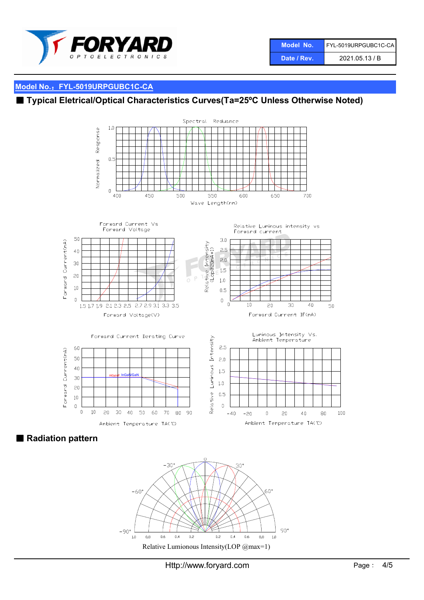

| Model No.   | FYL-5019URPGUBC1C-CA |
|-------------|----------------------|
| Date / Rev. | 2021.05.13 / B       |

# ■ Typical Eletrical/Optical Characteristics Curves(Ta=25°C Unless Otherwise Noted)



■ Radiation pattern